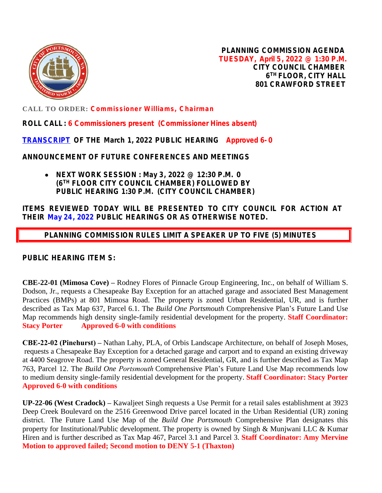

**PLANNING COMMISSION AGENDA TUESDAY, April 5, 2022 @ 1:30 P.M. CITY COUNCIL CHAMBER 6 TH FLOOR, CITY HALL 801 CRAWFORD STREET**

**CALL TO ORDER: Commissioner Williams, Chairman**

**ROLL CALL : 6 Commissioners present (Commissioner Hines absent)**

**[TRANSCRIPT](https://www.portsmouthva.gov/DocumentCenter/View/11992/Transcrip020122) OF THE March 1, 2022 PUBLIC HEARING Approved 6- 0**

**ANNOUNCEMENT OF FUTURE CONFERENCES AND MEETINGS**

 **NEXT WORK SESSION : May 3, 2022 @ 12:30 P.M. 0 (6TH FLOOR CITY COUNCIL CHAMBER) FOLLOWED BY PUBLIC HEARING 1:30 P.M. (CITY COUNCIL CHAMBER)**

**ITEMS REVIEWED TODAY WILL BE PRESENTED TO CITY COUNCIL FOR ACTION AT THEIR May 24, 2022 PUBLIC HEARINGS OR AS OTHERWISE NOTED.**

 **PLANNING COMMISSION RULES LIMIT A SPEAKER UP TO FIVE (5) MINUTES**

**PUBLIC HEARING ITEM S:**

**[CBE-22-01](https://www.portsmouthva.gov/DocumentCenter/View/11995/CBE-22-01_Full-Staff-Report-Packet-for-printing) (Mimosa Cove) –** Rodney Flores of Pinnacle Group Engineering, Inc., on behalf of William S. Dodson, Jr., requests a Chesapeake Bay Exception for an attached garage and associated Best Management Practices (BMPs) at 801 Mimosa Road. The property is zoned Urban Residential, UR, and is further described as Tax Map 637, Parcel 6.1. The *Build One Portsmouth* Comprehensive Plan's Future Land Use Map recommends high density single-family residential development for the property. **Staff Coordinator: Stacy Porter Approved 6-0 with conditions**

**CBE-22-02 (Pinehurst) –** Nathan Lahy, PLA, of Orbis Landscape Architecture, on behalf of Joseph Moses, requests a Chesapeake Bay Exception for a detached garage and carport and to expand an existing driveway at 4400 Seagrove Road. The property is zoned General Residential, GR, and is further described as Tax Map 763, Parcel 12. The *Build One Portsmouth* Comprehensive Plan's Future Land Use Map recommends low to medium density single-family residential development for the property. **Staff Coordinator: Stacy Porter Approved 6-0 with conditions**

**UP-22-06 (West Cradock) –** Kawaljeet Singh requests a Use Permit for a retail sales establishment at 3923 Deep Creek Boulevard on the 2516 Greenwood Drive parcel located in the Urban Residential (UR) zoning district. The Future Land Use Map of the *Build One Portsmouth* Comprehensive Plan designates this property for Institutional/Public development. The property is owned by Singh & Munjwani LLC & Kumar Hiren and is further described as Tax Map 467, Parcel 3.1 and Parcel 3. **Staff Coordinator: Amy Mervine Motion to approved failed; Second motion to DENY 5-1 (Thaxton)**